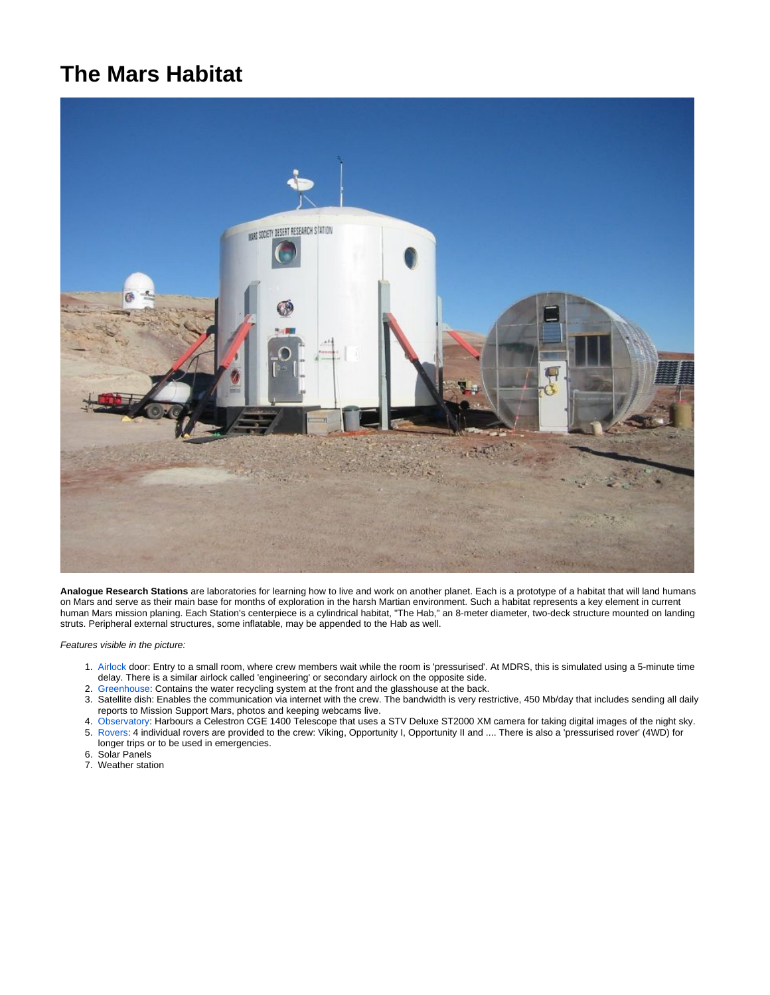## **The Mars Habitat**



**Analogue Research Stations** are laboratories for learning how to live and work on another planet. Each is a prototype of a habitat that will land humans on Mars and serve as their main base for months of exploration in the harsh Martian environment. Such a habitat represents a key element in current human Mars mission planing. Each Station's centerpiece is a cylindrical habitat, "The Hab," an 8-meter diameter, two-deck structure mounted on landing struts. Peripheral external structures, some inflatable, may be appended to the Hab as well.

Features visible in the picture:

- 1. [Airlock](https://www.kiwispace.org.nz/display/MDRS/Airlocks) door: Entry to a small room, where crew members wait while the room is 'pressurised'. At MDRS, this is simulated using a 5-minute time delay. There is a similar airlock called 'engineering' or secondary airlock on the opposite side.
- 2. [Greenhouse](https://www.kiwispace.org.nz/display/MDRS/Greenhouse): Contains the water recycling system at the front and the glasshouse at the back.
- 3. Satellite dish: Enables the communication via internet with the crew. The bandwidth is very restrictive, 450 Mb/day that includes sending all daily reports to Mission Support Mars, photos and keeping webcams live.
- 4. [Observatory:](https://www.kiwispace.org.nz/display/MDRS/Observatory) Harbours a Celestron CGE 1400 Telescope that uses a STV Deluxe ST2000 XM camera for taking digital images of the night sky. 5. [Rovers:](https://www.kiwispace.org.nz/display/MDRS/Rovers) 4 individual rovers are provided to the crew: Viking, Opportunity I, Opportunity II and .... There is also a 'pressurised rover' (4WD) for
- longer trips or to be used in emergencies.
- 6. Solar Panels
- 7. Weather station